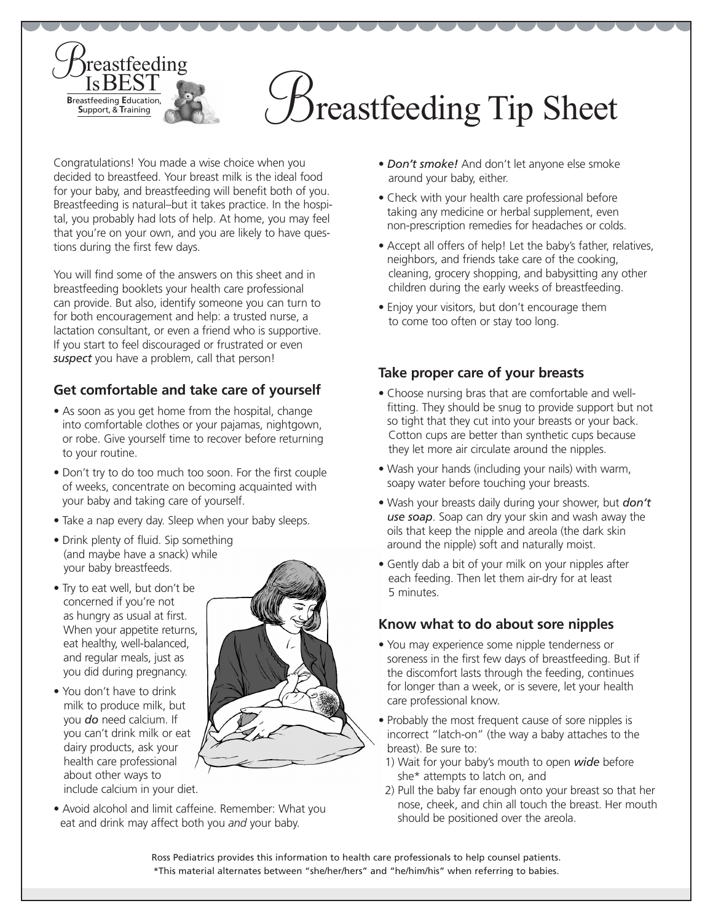

Congratulations! You made a wise choice when you decided to breastfeed. Your breast milk is the ideal food for your baby, and breastfeeding will benefit both of you. Breastfeeding is natural–but it takes practice. In the hospital, you probably had lots of help. At home, you may feel that you're on your own, and you are likely to have questions during the first few days.

You will find some of the answers on this sheet and in breastfeeding booklets your health care professional can provide. But also, identify someone you can turn to for both encouragement and help: a trusted nurse, a lactation consultant, or even a friend who is supportive. If you start to feel discouraged or frustrated or even *suspect* you have a problem, call that person!

# **Get comfortable and take care of yourself**

- As soon as you get home from the hospital, change into comfortable clothes or your pajamas, nightgown, or robe. Give yourself time to recover before returning to your routine.
- Don't try to do too much too soon. For the first couple of weeks, concentrate on becoming acquainted with your baby and taking care of yourself.
- Take a nap every day. Sleep when your baby sleeps.
- Drink plenty of fluid. Sip something (and maybe have a snack) while your baby breastfeeds.
- Try to eat well, but don't be concerned if you're not as hungry as usual at first. When your appetite returns, eat healthy, well-balanced, and regular meals, just as you did during pregnancy.

• You don't have to drink milk to produce milk, but you *do* need calcium. If

dairy products, ask your health care professional about other ways to include calcium in your diet.



• Avoid alcohol and limit caffeine. Remember: What you eat and drink may affect both you *and* your baby.

- *Don't smoke!* And don't let anyone else smoke around your baby, either.
- Check with your health care professional before taking any medicine or herbal supplement, even non-prescription remedies for headaches or colds.
- Accept all offers of help! Let the baby's father, relatives, neighbors, and friends take care of the cooking, cleaning, grocery shopping, and babysitting any other children during the early weeks of breastfeeding.
- Enjoy your visitors, but don't encourage them to come too often or stay too long.

## **Take proper care of your breasts**

- Choose nursing bras that are comfortable and wellfitting. They should be snug to provide support but not so tight that they cut into your breasts or your back. Cotton cups are better than synthetic cups because they let more air circulate around the nipples.
- Wash your hands (including your nails) with warm, soapy water before touching your breasts.
- Wash your breasts daily during your shower, but *don't use soap*. Soap can dry your skin and wash away the oils that keep the nipple and areola (the dark skin around the nipple) soft and naturally moist.
- Gently dab a bit of your milk on your nipples after each feeding. Then let them air-dry for at least 5 minutes.

#### **Know what to do about sore nipples**

- You may experience some nipple tenderness or soreness in the first few days of breastfeeding. But if the discomfort lasts through the feeding, continues for longer than a week, or is severe, let your health care professional know.
- Probably the most frequent cause of sore nipples is incorrect "latch-on" (the way a baby attaches to the breast). Be sure to:
- 1) Wait for your baby's mouth to open *wide* before she\* attempts to latch on, and
- 2) Pull the baby far enough onto your breast so that her nose, cheek, and chin all touch the breast. Her mouth should be positioned over the areola.

Ross Pediatrics provides this information to health care professionals to help counsel patients. \*This material alternates between "she/her/hers" and "he/him/his" when referring to babies.